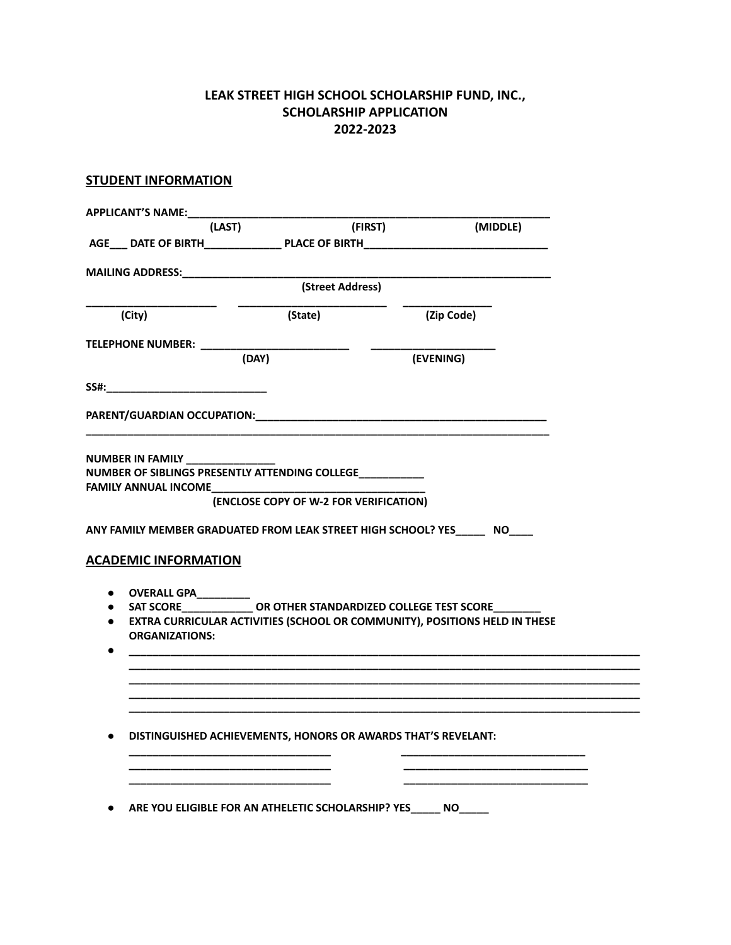## **LEAK STREET HIGH SCHOOL SCHOLARSHIP FUND, INC., SCHOLARSHIP APPLICATION 2022-2023**

## **STUDENT INFORMATION**

|                                                                              | (LAST)                                                                                                                                                                                                                                                                      | (FIRST)<br>(MIDDLE) |  |
|------------------------------------------------------------------------------|-----------------------------------------------------------------------------------------------------------------------------------------------------------------------------------------------------------------------------------------------------------------------------|---------------------|--|
|                                                                              | AGE___ DATE OF BIRTH_________________ PLACE OF BIRTH____________________________                                                                                                                                                                                            |                     |  |
| <b>MAILING ADDRESS:</b>                                                      |                                                                                                                                                                                                                                                                             |                     |  |
|                                                                              | (Street Address)                                                                                                                                                                                                                                                            |                     |  |
| (City)                                                                       | (State)                                                                                                                                                                                                                                                                     | (Zip Code)          |  |
| <b>TELEPHONE NUMBER:</b>                                                     |                                                                                                                                                                                                                                                                             |                     |  |
|                                                                              | (DAY)                                                                                                                                                                                                                                                                       | (EVENING)           |  |
| SS#:                                                                         |                                                                                                                                                                                                                                                                             |                     |  |
|                                                                              | PARENT/GUARDIAN OCCUPATION: NATION: NATIONAL PARENT/GUARDIAN OCCUPATION:                                                                                                                                                                                                    |                     |  |
|                                                                              |                                                                                                                                                                                                                                                                             |                     |  |
| <b>ACADEMIC INFORMATION</b><br>OVERALL GPA_________<br><b>ORGANIZATIONS:</b> | (ENCLOSE COPY OF W-2 FOR VERIFICATION)<br>ANY FAMILY MEMBER GRADUATED FROM LEAK STREET HIGH SCHOOL? YES_______ NO____<br>• SAT SCORE ______________OR OTHER STANDARDIZED COLLEGE TEST SCORE<br>• EXTRA CURRICULAR ACTIVITIES (SCHOOL OR COMMUNITY), POSITIONS HELD IN THESE |                     |  |
|                                                                              |                                                                                                                                                                                                                                                                             |                     |  |
|                                                                              | DISTINGUISHED ACHIEVEMENTS, HONORS OR AWARDS THAT'S REVELANT:                                                                                                                                                                                                               |                     |  |